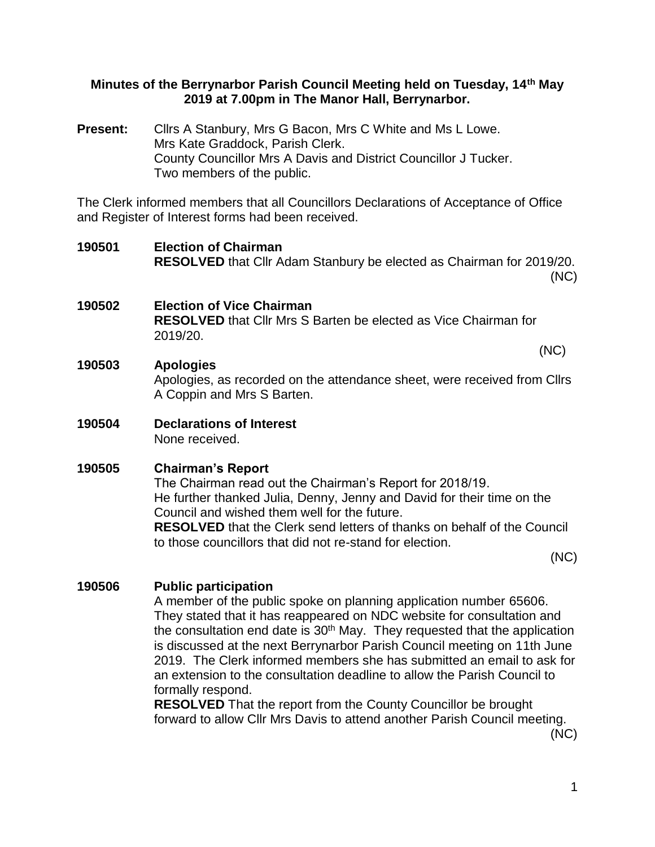#### **Minutes of the Berrynarbor Parish Council Meeting held on Tuesday, 14th May 2019 at 7.00pm in The Manor Hall, Berrynarbor.**

Present: Clirs A Stanbury, Mrs G Bacon, Mrs C White and Ms L Lowe. Mrs Kate Graddock, Parish Clerk. County Councillor Mrs A Davis and District Councillor J Tucker. Two members of the public.

The Clerk informed members that all Councillors Declarations of Acceptance of Office and Register of Interest forms had been received.

**190501 Election of Chairman RESOLVED** that Cllr Adam Stanbury be elected as Chairman for 2019/20. (NC) **190502 Election of Vice Chairman RESOLVED** that Cllr Mrs S Barten be elected as Vice Chairman for 2019/20. (NC)

## **190503 Apologies**

Apologies, as recorded on the attendance sheet, were received from Cllrs A Coppin and Mrs S Barten.

**190504 Declarations of Interest**

None received.

## **190505 Chairman's Report**

The Chairman read out the Chairman's Report for 2018/19. He further thanked Julia, Denny, Jenny and David for their time on the Council and wished them well for the future.

**RESOLVED** that the Clerk send letters of thanks on behalf of the Council to those councillors that did not re-stand for election.

(NC)

### **190506 Public participation**

A member of the public spoke on planning application number 65606. They stated that it has reappeared on NDC website for consultation and the consultation end date is  $30<sup>th</sup>$  May. They requested that the application is discussed at the next Berrynarbor Parish Council meeting on 11th June 2019. The Clerk informed members she has submitted an email to ask for an extension to the consultation deadline to allow the Parish Council to formally respond.

**RESOLVED** That the report from the County Councillor be brought forward to allow Cllr Mrs Davis to attend another Parish Council meeting.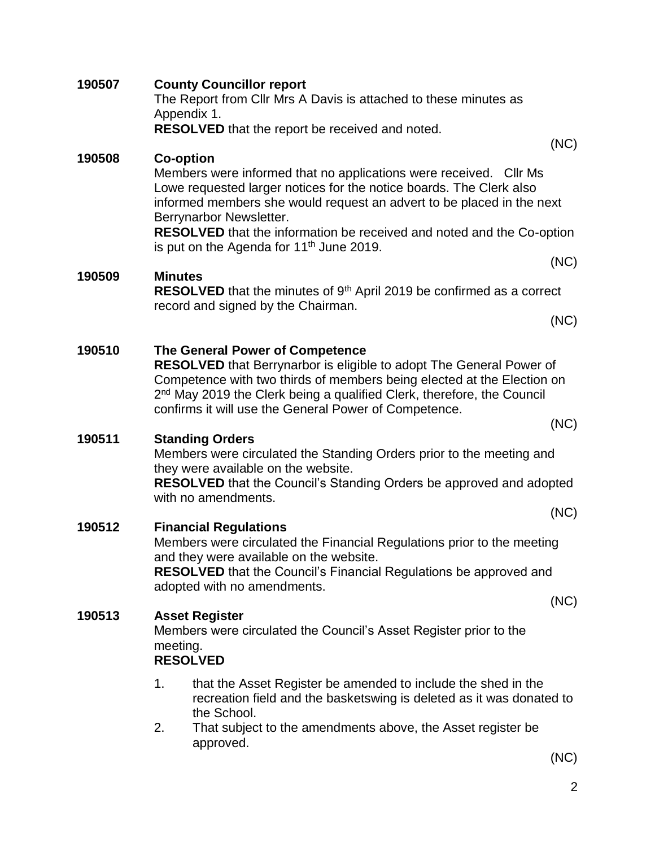|        |                                                                                                                                                                                                                                                              | RESOLVED that the report be received and noted.                                                                                                                                                                                                                                                                                        |      |
|--------|--------------------------------------------------------------------------------------------------------------------------------------------------------------------------------------------------------------------------------------------------------------|----------------------------------------------------------------------------------------------------------------------------------------------------------------------------------------------------------------------------------------------------------------------------------------------------------------------------------------|------|
| 190508 | (NC)<br><b>Co-option</b><br>Members were informed that no applications were received. Cllr Ms<br>Lowe requested larger notices for the notice boards. The Clerk also<br>informed members she would request an advert to be placed in the next                |                                                                                                                                                                                                                                                                                                                                        |      |
|        |                                                                                                                                                                                                                                                              | Berrynarbor Newsletter.<br><b>RESOLVED</b> that the information be received and noted and the Co-option<br>is put on the Agenda for 11 <sup>th</sup> June 2019.                                                                                                                                                                        |      |
| 190509 | <b>Minutes</b>                                                                                                                                                                                                                                               | <b>RESOLVED</b> that the minutes of 9 <sup>th</sup> April 2019 be confirmed as a correct<br>record and signed by the Chairman.                                                                                                                                                                                                         | (NC) |
|        |                                                                                                                                                                                                                                                              |                                                                                                                                                                                                                                                                                                                                        | (NC) |
| 190510 |                                                                                                                                                                                                                                                              | The General Power of Competence<br><b>RESOLVED</b> that Berrynarbor is eligible to adopt The General Power of<br>Competence with two thirds of members being elected at the Election on<br>2 <sup>nd</sup> May 2019 the Clerk being a qualified Clerk, therefore, the Council<br>confirms it will use the General Power of Competence. |      |
|        |                                                                                                                                                                                                                                                              |                                                                                                                                                                                                                                                                                                                                        | (NC) |
| 190511 |                                                                                                                                                                                                                                                              | <b>Standing Orders</b><br>Members were circulated the Standing Orders prior to the meeting and<br>they were available on the website.<br><b>RESOLVED</b> that the Council's Standing Orders be approved and adopted<br>with no amendments.                                                                                             |      |
|        |                                                                                                                                                                                                                                                              |                                                                                                                                                                                                                                                                                                                                        | (NC) |
| 190512 | <b>Financial Regulations</b><br>Members were circulated the Financial Regulations prior to the meeting<br>and they were available on the website.<br><b>RESOLVED</b> that the Council's Financial Regulations be approved and<br>adopted with no amendments. |                                                                                                                                                                                                                                                                                                                                        |      |
| 190513 |                                                                                                                                                                                                                                                              | <b>Asset Register</b>                                                                                                                                                                                                                                                                                                                  | (NC) |
|        | Members were circulated the Council's Asset Register prior to the<br>meeting.<br><b>RESOLVED</b>                                                                                                                                                             |                                                                                                                                                                                                                                                                                                                                        |      |
|        | 1.                                                                                                                                                                                                                                                           | that the Asset Register be amended to include the shed in the<br>recreation field and the basketswing is deleted as it was donated to<br>the School.                                                                                                                                                                                   |      |
|        | 2                                                                                                                                                                                                                                                            | That subject to the amendments above the Asset register he                                                                                                                                                                                                                                                                             |      |

The Report from Cllr Mrs A Davis is attached to these minutes as

**190507 County Councillor report**

Appendix 1.

2. That subject to the amendments above, the Asset register be approved.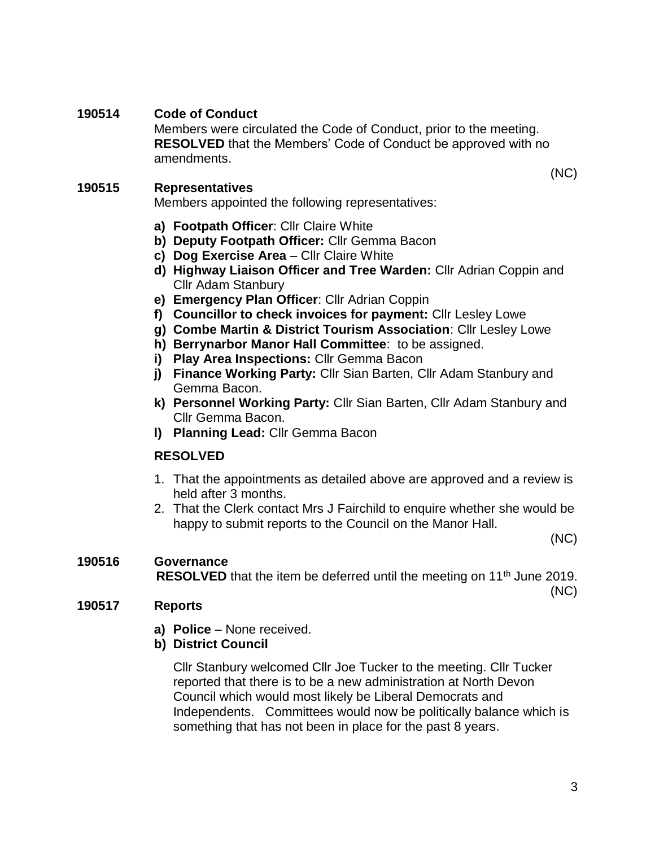## **190514 Code of Conduct**

Members were circulated the Code of Conduct, prior to the meeting. **RESOLVED** that the Members' Code of Conduct be approved with no amendments.

#### **190515 Representatives**

Members appointed the following representatives:

- **a) Footpath Officer**: Cllr Claire White
- **b) Deputy Footpath Officer:** Cllr Gemma Bacon
- **c) Dog Exercise Area** Cllr Claire White
- **d) Highway Liaison Officer and Tree Warden:** Cllr Adrian Coppin and Cllr Adam Stanbury
- **e) Emergency Plan Officer**: Cllr Adrian Coppin
- **f) Councillor to check invoices for payment:** Cllr Lesley Lowe
- **g) Combe Martin & District Tourism Association**: Cllr Lesley Lowe
- **h) Berrynarbor Manor Hall Committee**: to be assigned.
- **i) Play Area Inspections:** Cllr Gemma Bacon
- **j) Finance Working Party:** Cllr Sian Barten, Cllr Adam Stanbury and Gemma Bacon.
- **k) Personnel Working Party:** Cllr Sian Barten, Cllr Adam Stanbury and Cllr Gemma Bacon.
- **l) Planning Lead:** Cllr Gemma Bacon

### **RESOLVED**

- 1. That the appointments as detailed above are approved and a review is held after 3 months.
- 2. That the Clerk contact Mrs J Fairchild to enquire whether she would be happy to submit reports to the Council on the Manor Hall.

(NC)

(NC)

## **190516 Governance RESOLVED** that the item be deferred until the meeting on 11<sup>th</sup> June 2019.

(NC)

#### **190517 Reports**

- **a) Police** None received.
- **b) District Council**

Cllr Stanbury welcomed Cllr Joe Tucker to the meeting. Cllr Tucker reported that there is to be a new administration at North Devon Council which would most likely be Liberal Democrats and Independents. Committees would now be politically balance which is something that has not been in place for the past 8 years.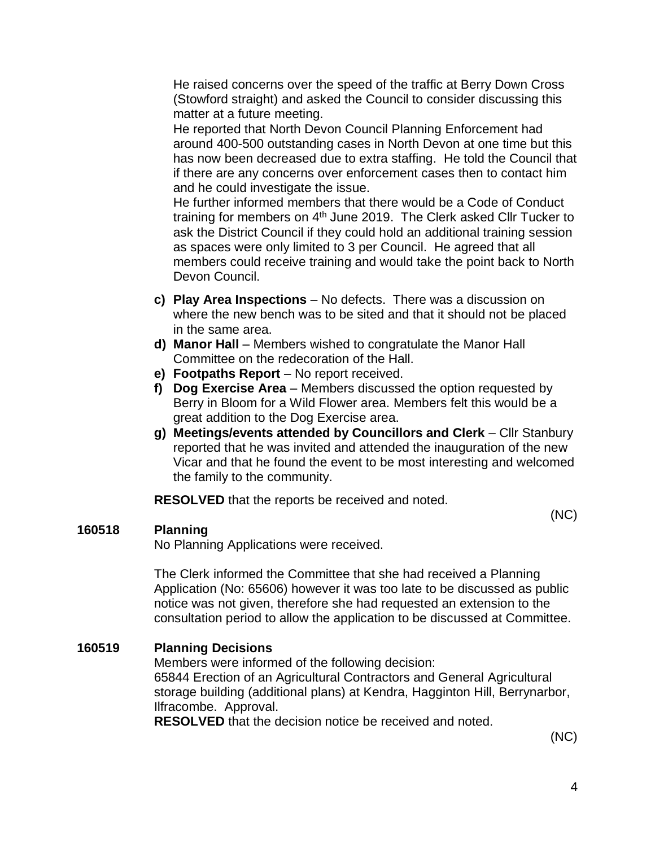He raised concerns over the speed of the traffic at Berry Down Cross (Stowford straight) and asked the Council to consider discussing this matter at a future meeting.

He reported that North Devon Council Planning Enforcement had around 400-500 outstanding cases in North Devon at one time but this has now been decreased due to extra staffing. He told the Council that if there are any concerns over enforcement cases then to contact him and he could investigate the issue.

He further informed members that there would be a Code of Conduct training for members on 4th June 2019. The Clerk asked Cllr Tucker to ask the District Council if they could hold an additional training session as spaces were only limited to 3 per Council. He agreed that all members could receive training and would take the point back to North Devon Council.

- **c) Play Area Inspections** No defects. There was a discussion on where the new bench was to be sited and that it should not be placed in the same area.
- **d) Manor Hall** Members wished to congratulate the Manor Hall Committee on the redecoration of the Hall.
- **e) Footpaths Report** No report received.
- **f) Dog Exercise Area** Members discussed the option requested by Berry in Bloom for a Wild Flower area. Members felt this would be a great addition to the Dog Exercise area.
- **g) Meetings/events attended by Councillors and Clerk** Cllr Stanbury reported that he was invited and attended the inauguration of the new Vicar and that he found the event to be most interesting and welcomed the family to the community.

**RESOLVED** that the reports be received and noted.

#### **160518 Planning**

No Planning Applications were received.

The Clerk informed the Committee that she had received a Planning Application (No: 65606) however it was too late to be discussed as public notice was not given, therefore she had requested an extension to the consultation period to allow the application to be discussed at Committee.

#### **160519 Planning Decisions**

Members were informed of the following decision: 65844 Erection of an Agricultural Contractors and General Agricultural storage building (additional plans) at Kendra, Hagginton Hill, Berrynarbor, Ilfracombe. Approval.

**RESOLVED** that the decision notice be received and noted.

(NC)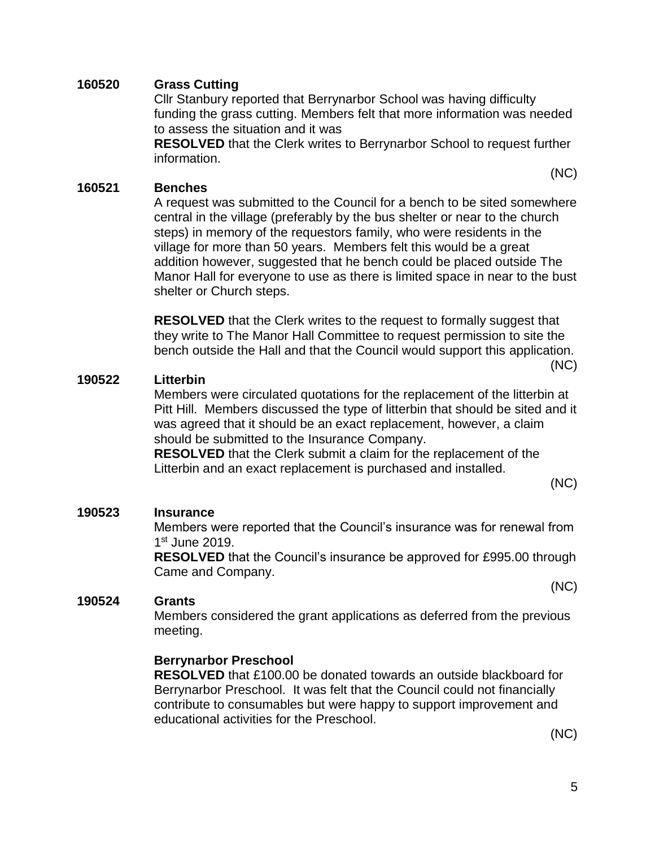#### **160520 Grass Cutting**

Cllr Stanbury reported that Berrynarbor School was having difficulty funding the grass cutting. Members felt that more information was needed to assess the situation and it was

**RESOLVED** that the Clerk writes to Berrynarbor School to request further information.

#### **160521 Benches**

A request was submitted to the Council for a bench to be sited somewhere central in the village (preferably by the bus shelter or near to the church steps) in memory of the requestors family, who were residents in the village for more than 50 years. Members felt this would be a great addition however, suggested that he bench could be placed outside The Manor Hall for everyone to use as there is limited space in near to the bust shelter or Church steps.

**RESOLVED** that the Clerk writes to the request to formally suggest that they write to The Manor Hall Committee to request permission to site the bench outside the Hall and that the Council would support this application.

(NC)

(NC)

#### **190522 Litterbin**

Members were circulated quotations for the replacement of the litterbin at Pitt Hill. Members discussed the type of litterbin that should be sited and it was agreed that it should be an exact replacement, however, a claim should be submitted to the Insurance Company.

**RESOLVED** that the Clerk submit a claim for the replacement of the Litterbin and an exact replacement is purchased and installed.

(NC)

(NC)

#### **190523 Insurance**

Members were reported that the Council's insurance was for renewal from 1 st June 2019.

**RESOLVED** that the Council's insurance be approved for £995.00 through Came and Company.

#### **190524 Grants**

Members considered the grant applications as deferred from the previous meeting.

#### **Berrynarbor Preschool**

**RESOLVED** that £100.00 be donated towards an outside blackboard for Berrynarbor Preschool. It was felt that the Council could not financially contribute to consumables but were happy to support improvement and educational activities for the Preschool.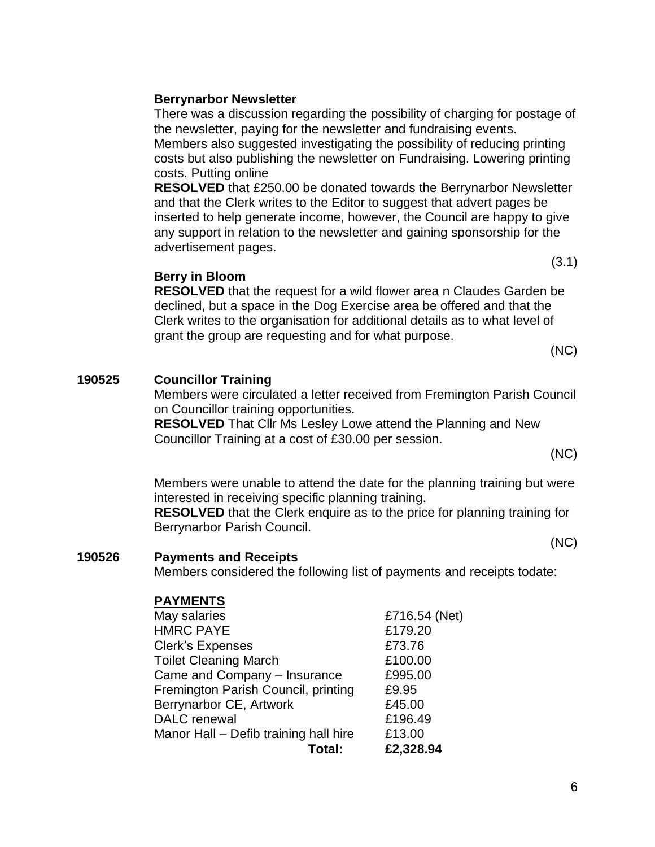## **Berrynarbor Newsletter**

There was a discussion regarding the possibility of charging for postage of the newsletter, paying for the newsletter and fundraising events.

Members also suggested investigating the possibility of reducing printing costs but also publishing the newsletter on Fundraising. Lowering printing costs. Putting online

**RESOLVED** that £250.00 be donated towards the Berrynarbor Newsletter and that the Clerk writes to the Editor to suggest that advert pages be inserted to help generate income, however, the Council are happy to give any support in relation to the newsletter and gaining sponsorship for the advertisement pages.

## **Berry in Bloom**

**RESOLVED** that the request for a wild flower area n Claudes Garden be declined, but a space in the Dog Exercise area be offered and that the Clerk writes to the organisation for additional details as to what level of grant the group are requesting and for what purpose.

(NC)

(3.1)

## **190525 Councillor Training**

Members were circulated a letter received from Fremington Parish Council on Councillor training opportunities.

**RESOLVED** That Cllr Ms Lesley Lowe attend the Planning and New Councillor Training at a cost of £30.00 per session.

(NC)

Members were unable to attend the date for the planning training but were interested in receiving specific planning training.

**RESOLVED** that the Clerk enquire as to the price for planning training for Berrynarbor Parish Council.

(NC)

## **190526 Payments and Receipts**

Members considered the following list of payments and receipts todate:

## **PAYMENTS**

| May salaries                          | £716.54 (Net) |
|---------------------------------------|---------------|
| <b>HMRC PAYE</b>                      | £179.20       |
| <b>Clerk's Expenses</b>               | £73.76        |
| <b>Toilet Cleaning March</b>          | £100.00       |
| Came and Company - Insurance          | £995.00       |
| Fremington Parish Council, printing   | £9.95         |
| Berrynarbor CE, Artwork               | £45.00        |
| <b>DALC</b> renewal                   | £196.49       |
| Manor Hall - Defib training hall hire | £13.00        |
| Total:                                | £2,328.94     |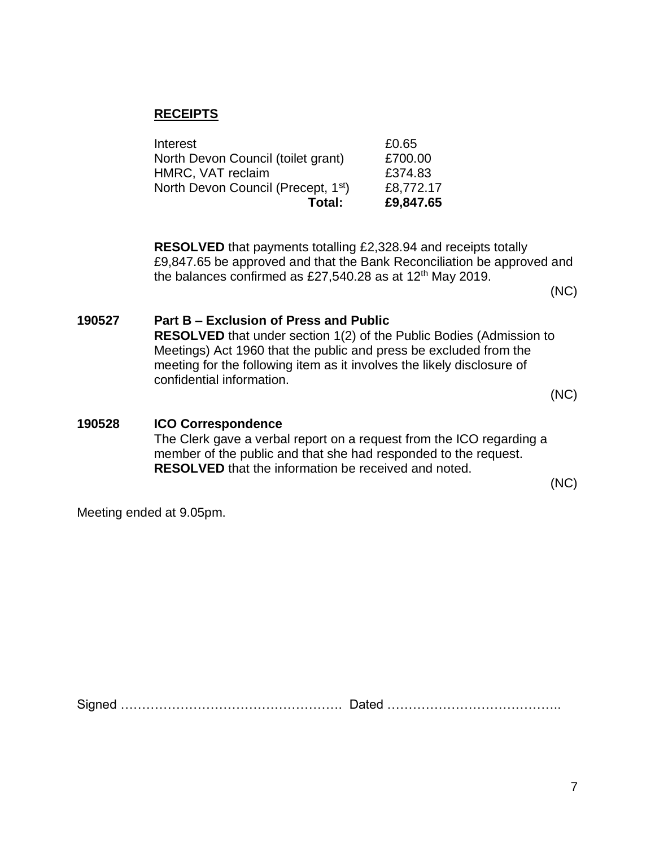## **RECEIPTS**

| Total:                                          | £9,847.65 |
|-------------------------------------------------|-----------|
| North Devon Council (Precept, 1 <sup>st</sup> ) | £8,772.17 |
| HMRC, VAT reclaim                               | £374.83   |
| North Devon Council (toilet grant)              | £700.00   |
| Interest                                        | £0.65     |

**RESOLVED** that payments totalling £2,328.94 and receipts totally £9,847.65 be approved and that the Bank Reconciliation be approved and the balances confirmed as £27,540.28 as at  $12<sup>th</sup>$  May 2019.

(NC)

## **190527 Part B – Exclusion of Press and Public**

**RESOLVED** that under section 1(2) of the Public Bodies (Admission to Meetings) Act 1960 that the public and press be excluded from the meeting for the following item as it involves the likely disclosure of confidential information.

(NC)

## **190528 ICO Correspondence** The Clerk gave a verbal report on a request from the ICO regarding a member of the public and that she had responded to the request. **RESOLVED** that the information be received and noted.

(NC)

Meeting ended at 9.05pm.

Signed ……………………………………………. Dated …………………………………..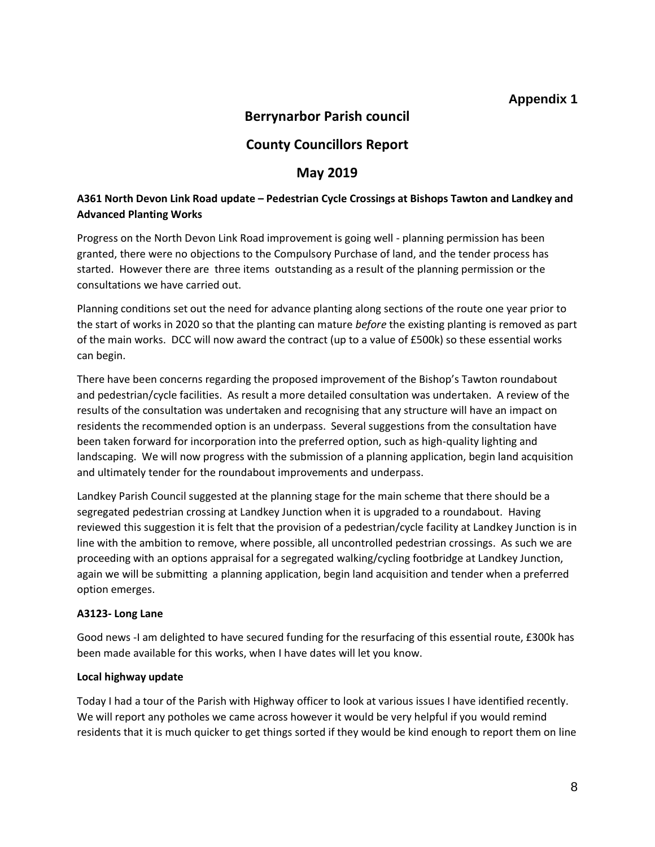## **Appendix 1**

## **Berrynarbor Parish council**

## **County Councillors Report**

#### **May 2019**

#### **A361 North Devon Link Road update – Pedestrian Cycle Crossings at Bishops Tawton and Landkey and Advanced Planting Works**

Progress on the North Devon Link Road improvement is going well - planning permission has been granted, there were no objections to the Compulsory Purchase of land, and the tender process has started. However there are three items outstanding as a result of the planning permission or the consultations we have carried out.

Planning conditions set out the need for advance planting along sections of the route one year prior to the start of works in 2020 so that the planting can mature *before* the existing planting is removed as part of the main works. DCC will now award the contract (up to a value of £500k) so these essential works can begin.

There have been concerns regarding the proposed improvement of the Bishop's Tawton roundabout and pedestrian/cycle facilities. As result a more detailed consultation was undertaken. A review of the results of the consultation was undertaken and recognising that any structure will have an impact on residents the recommended option is an underpass. Several suggestions from the consultation have been taken forward for incorporation into the preferred option, such as high-quality lighting and landscaping. We will now progress with the submission of a planning application, begin land acquisition and ultimately tender for the roundabout improvements and underpass.

Landkey Parish Council suggested at the planning stage for the main scheme that there should be a segregated pedestrian crossing at Landkey Junction when it is upgraded to a roundabout. Having reviewed this suggestion it is felt that the provision of a pedestrian/cycle facility at Landkey Junction is in line with the ambition to remove, where possible, all uncontrolled pedestrian crossings. As such we are proceeding with an options appraisal for a segregated walking/cycling footbridge at Landkey Junction, again we will be submitting a planning application, begin land acquisition and tender when a preferred option emerges.

#### **A3123- Long Lane**

Good news -I am delighted to have secured funding for the resurfacing of this essential route, £300k has been made available for this works, when I have dates will let you know.

#### **Local highway update**

Today I had a tour of the Parish with Highway officer to look at various issues I have identified recently. We will report any potholes we came across however it would be very helpful if you would remind residents that it is much quicker to get things sorted if they would be kind enough to report them on line